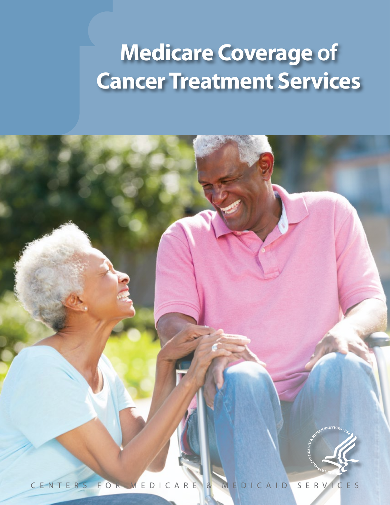# **Medicare Coverage of Cancer Treatment Services**

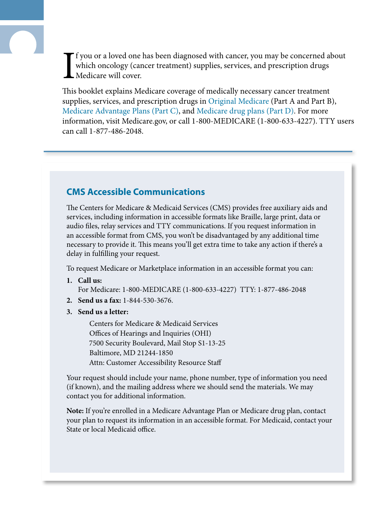I f you or a loved one has been diagnosed with cancer, you may be concerned about which oncology (cancer treatment) supplies, services, and prescription drugs Medicare will cover.

This booklet explains Medicare coverage of medically necessary cancer treatment supplies, services, and prescription drugs in [Original Medicare](#page-9-0) (Part A and Part B), [Medicare Advantage Plans \(Part C\)](#page-9-1), and [Medicare drug plans \(Part D\)](#page-9-2). For more information, visit [Medicare.gov,](https://www.medicare.gov/) or call 1-800-MEDICARE (1-800-633-4227). TTY users can call 1-877-486-2048.

# **CMS Accessible Communications**

The Centers for Medicare & Medicaid Services (CMS) provides free auxiliary aids and services, including information in accessible formats like Braille, large print, data or audio files, relay services and TTY communications. If you request information in an accessible format from CMS, you won't be disadvantaged by any additional time necessary to provide it. This means you'll get extra time to take any action if there's a delay in fulfilling your request.

To request Medicare or Marketplace information in an accessible format you can:

**1. Call us:**

For Medicare: 1-800-MEDICARE (1-800-633-4227) TTY: 1-877-486-2048

- **2. Send us a fax:** 1-844-530-3676.
- **3. Send us a letter:**

Centers for Medicare & Medicaid Services Offices of Hearings and Inquiries (OHI) 7500 Security Boulevard, Mail Stop S1-13-25 Baltimore, MD 21244-1850 Attn: Customer Accessibility Resource Staff

Your request should include your name, phone number, type of information you need (if known), and the mailing address where we should send the materials. We may contact you for additional information.

**Note:** If you're enrolled in a Medicare Advantage Plan or Medicare drug plan, contact your plan to request its information in an accessible format. For Medicaid, contact your State or local Medicaid office.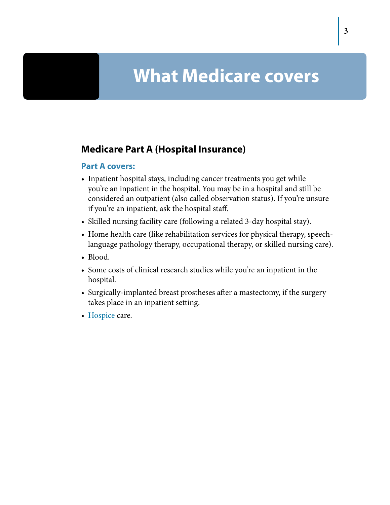# **What Medicare covers**

# **Medicare Part A (Hospital Insurance)**

#### **Part A covers:**

- Inpatient hospital stays, including cancer treatments you get while you're an inpatient in the hospital. You may be in a hospital and still be considered an outpatient (also called observation status). If you're unsure if you're an inpatient, ask the hospital staff.
- Skilled nursing facility care (following a related 3-day hospital stay).
- Home health care (like rehabilitation services for physical therapy, speechlanguage pathology therapy, occupational therapy, or skilled nursing care).
- Blood.
- Some costs of clinical research studies while you're an inpatient in the hospital.
- Surgically-implanted breast prostheses after a mastectomy, if the surgery takes place in an inpatient setting.
- [Hospice](#page-8-0) care.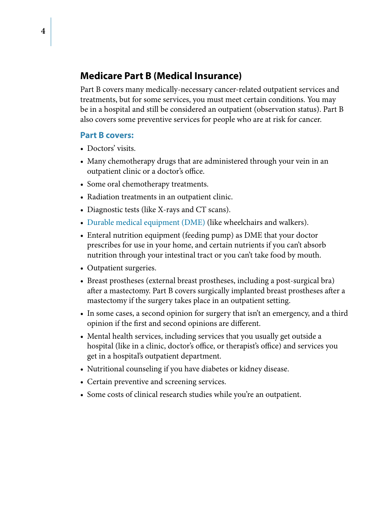# **Medicare Part B (Medical Insurance)**

Part B covers many medically-necessary cancer-related outpatient services and treatments, but for some services, you must meet certain conditions. You may be in a hospital and still be considered an outpatient (observation status). Part B also covers some preventive services for people who are at risk for cancer.

#### **Part B covers:**

- Doctors' visits.
- Many chemotherapy drugs that are administered through your vein in an outpatient clinic or a doctor's office.
- Some oral chemotherapy treatments.
- Radiation treatments in an outpatient clinic.
- Diagnostic tests (like X-rays and CT scans).
- [Durable medical equipment \(DME\)](#page-8-1) (like wheelchairs and walkers).
- Enteral nutrition equipment (feeding pump) as DME that your doctor prescribes for use in your home, and certain nutrients if you can't absorb nutrition through your intestinal tract or you can't take food by mouth.
- Outpatient surgeries.
- Breast prostheses (external breast prostheses, including a post-surgical bra) after a mastectomy. Part B covers surgically implanted breast prostheses after a mastectomy if the surgery takes place in an outpatient setting.
- In some cases, a second opinion for surgery that isn't an emergency, and a third opinion if the first and second opinions are different.
- Mental health services, including services that you usually get outside a hospital (like in a clinic, doctor's office, or therapist's office) and services you get in a hospital's outpatient department.
- Nutritional counseling if you have diabetes or kidney disease.
- Certain preventive and screening services.
- Some costs of clinical research studies while you're an outpatient.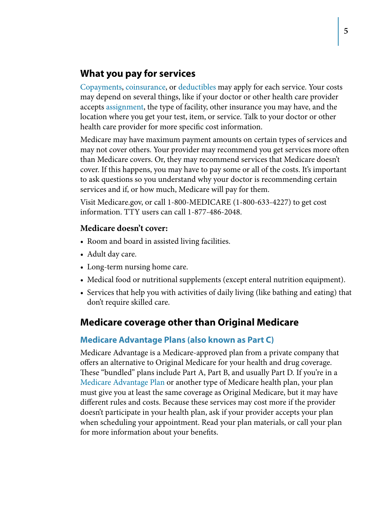### **What you pay for services**

[Copayments](#page-8-2), [coinsurance,](#page-8-3) or [deductibles](#page-8-4) may apply for each service. Your costs may depend on several things, like if your doctor or other health care provider accepts [assignment](#page-8-5), the type of facility, other insurance you may have, and the location where you get your test, item, or service. Talk to your doctor or other health care provider for more specific cost information.

Medicare may have maximum payment amounts on certain types of services and may not cover others. Your provider may recommend you get services more often than Medicare covers. Or, they may recommend services that Medicare doesn't cover. If this happens, you may have to pay some or all of the costs. It's important to ask questions so you understand why your doctor is recommending certain services and if, or how much, Medicare will pay for them.

Visit [Medicare.gov,](https://www.medicare.gov/) or call 1-800-MEDICARE (1-800-633-4227) to get cost information. TTY users can call 1-877-486-2048.

#### **Medicare doesn't cover:**

- Room and board in assisted living facilities.
- Adult day care.
- Long-term nursing home care.
- Medical food or nutritional supplements (except enteral nutrition equipment).
- Services that help you with activities of daily living (like bathing and eating) that don't require skilled care.

### **Medicare coverage other than Original Medicare**

#### **Medicare Advantage Plans (also known as Part C)**

Medicare Advantage is a Medicare-approved plan from a private company that offers an alternative to Original Medicare for your health and drug coverage. These "bundled" plans include Part A, Part B, and usually Part D. If you're in a [Medicare Advantage Plan](#page-9-1) or another type of Medicare health plan, your plan must give you at least the same coverage as Original Medicare, but it may have different rules and costs. Because these services may cost more if the provider doesn't participate in your health plan, ask if your provider accepts your plan when scheduling your appointment. Read your plan materials, or call your plan for more information about your benefits.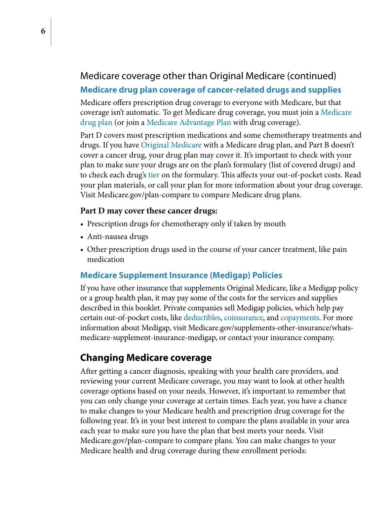# Medicare coverage other than Original Medicare (continued) **Medicare drug plan coverage of cancer-related drugs and supplies**

Medicare offers prescription drug coverage to everyone with Medicare, but that coverage isn't automatic. To get Medicare drug coverage, you must join a [Medicare](#page-9-2)  [drug plan](#page-9-2) (or join a [Medicare Advantage Plan](#page-9-1) with drug coverage).

Part D covers most prescription medications and some chemotherapy treatments and drugs. If you have [Original Medicare](#page-9-0) with a Medicare drug plan, and Part B doesn't cover a cancer drug, your drug plan may cover it. It's important to check with your plan to make sure your drugs are on the plan's formulary (list of covered drugs) and to check each drug's [tier](#page-9-3) on the formulary. This affects your out-of-pocket costs. Read your plan materials, or call your plan for more information about your drug coverage. Visit [Medicare.gov/plan-compare](http://Medicare.gov/plan-compare) to compare Medicare drug plans.

#### **Part D may cover these cancer drugs:**

- Prescription drugs for chemotherapy only if taken by mouth
- Anti-nausea drugs
- Other prescription drugs used in the course of your cancer treatment, like pain medication

#### **Medicare Supplement Insurance (Medigap) Policies**

If you have other insurance that supplements Original Medicare, like a Medigap policy or a group health plan, it may pay some of the costs for the services and supplies described in this booklet. Private companies sell Medigap policies, which help pay certain out-of-pocket costs, like [deductibles](#page-8-4), [coinsurance,](#page-8-3) and [copayments](#page-8-2). For more information about Medigap, visit [Medicare.gov/supplements-other-insurance/whats](http://Medicare.gov/supplements-other-insurance/whats-medicare-supplement-insurance-medigap)[medicare-supplement-insurance-medigap,](http://Medicare.gov/supplements-other-insurance/whats-medicare-supplement-insurance-medigap) or contact your insurance company.

# **Changing Medicare coverage**

After getting a cancer diagnosis, speaking with your health care providers, and reviewing your current Medicare coverage, you may want to look at other health coverage options based on your needs. However, it's important to remember that you can only change your coverage at certain times. Each year, you have a chance to make changes to your Medicare health and prescription drug coverage for the following year. It's in your best interest to compare the plans available in your area each year to make sure you have the plan that best meets your needs. Visit [Medicare.gov/plan-compare](http://Medicare.gov/plan-compare) to compare plans. You can make changes to your Medicare health and drug coverage during these enrollment periods: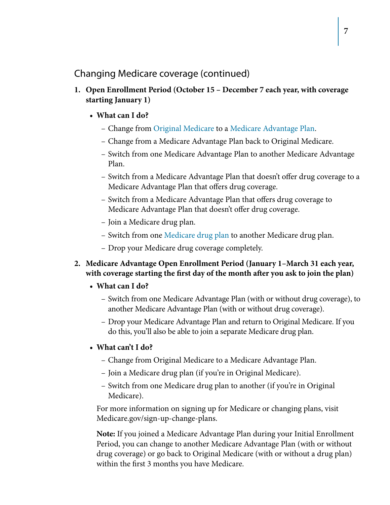Changing Medicare coverage (continued)

- **1. Open Enrollment Period (October 15 December 7 each year, with coverage starting January 1)**
	- **• What can I do?**
		- Change from Original Medicare to a [Medicare Advantage Plan](#page-9-1).
		- Change from a Medicare Advantage Plan back to Original Medicare.
		- Switch from one Medicare Advantage Plan to another Medicare Advantage Plan.
		- Switch from a Medicare Advantage Plan that doesn't offer drug coverage to a Medicare Advantage Plan that offers drug coverage.
		- Switch from a Medicare Advantage Plan that offers drug coverage to Medicare Advantage Plan that doesn't offer drug coverage.
		- Join a Medicare drug plan.
		- Switch from one [Medicare drug plan](#page-9-2) to another Medicare drug plan.
		- Drop your Medicare drug coverage completely.
- **2. Medicare Advantage Open Enrollment Period (January 1–March 31 each year, with coverage starting the first day of the month after you ask to join the plan)**

#### **• What can I do?**

- Switch from one Medicare Advantage Plan (with or without drug coverage), to another Medicare Advantage Plan (with or without drug coverage).
- Drop your Medicare Advantage Plan and return to Original Medicare. If you do this, you'll also be able to join a separate Medicare drug plan.

#### **• What can't I do?**

- Change from Original Medicare to a Medicare Advantage Plan.
- Join a Medicare drug plan (if you're in Original Medicare).
- Switch from one Medicare drug plan to another (if you're in Original Medicare).

For more information on signing up for Medicare or changing plans, visit [Medicare.gov/sign-up-change-plans](https://www.medicare.gov/sign-up-change-plans/).

**Note:** If you joined a Medicare Advantage Plan during your Initial Enrollment Period, you can change to another Medicare Advantage Plan (with or without drug coverage) or go back to Original Medicare (with or without a drug plan) within the first 3 months you have Medicare.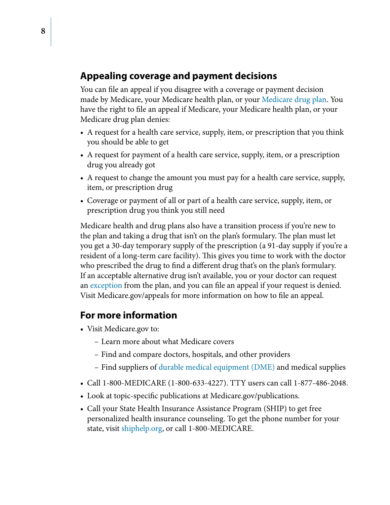# **Appealing coverage and payment decisions**

You can file an appeal if you disagree with a coverage or payment decision made by Medicare, your Medicare health plan, or your [Medicare drug plan.](#page-9-2) You have the right to file an appeal if Medicare, your Medicare health plan, or your Medicare drug plan denies:

- A request for a health care service, supply, item, or prescription that you think you should be able to get
- A request for payment of a health care service, supply, item, or a prescription drug you already got
- A request to change the amount you must pay for a health care service, supply, item, or prescription drug
- Coverage or payment of all or part of a health care service, supply, item, or prescription drug you think you still need

Medicare health and drug plans also have a transition process if you're new to the plan and taking a drug that isn't on the plan's formulary. The plan must let you get a 30-day temporary supply of the prescription (a 91-day supply if you're a resident of a long-term care facility). This gives you time to work with the doctor who prescribed the drug to find a different drug that's on the plan's formulary. If an acceptable alternative drug isn't available, you or your doctor can request an [exception](#page-8-6) from the plan, and you can file an appeal if your request is denied. Visit [Medicare.gov/appeals](http://www.medicare.gov/claims-appeals/how-do-i-file-an-appeal) for more information on how to file an appeal.

# **For more information**

- Visit [Medicare.gov](https://www.medicare.gov/) to:
	- Learn more about what Medicare covers
	- Find and compare doctors, hospitals, and other providers
	- Find suppliers of [durable medical equipment \(DME\)](#page-8-1) and medical supplies
- Call 1-800-MEDICARE (1-800-633-4227). TTY users can call 1-877-486-2048.
- Look at topic-specific publications at [Medicare.gov/publications.](https://www.medicare.gov/Publications/Search/SearchCriteria.asp?version=default&browser=Chrome%7C46%7CWinNT&Language=English&pagelist=Home&comingFrom=13)
- Call your State Health Insurance Assistance Program (SHIP) to get free personalized health insurance counseling. To get the phone number for your state, visit [shiphelp.org,](http://shiphelp.org) or call 1-800-MEDICARE.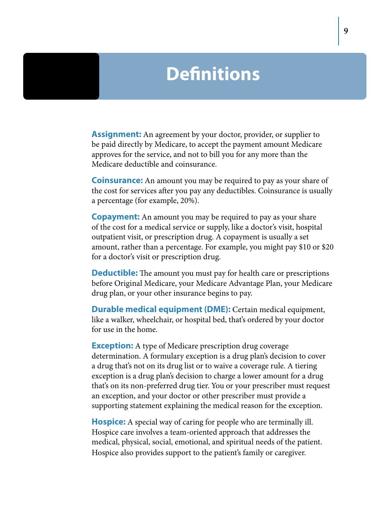# **Definitions**

<span id="page-8-5"></span>**Assignment:** An agreement by your doctor, provider, or supplier to be paid directly by Medicare, to accept the payment amount Medicare approves for the service, and not to bill you for any more than the Medicare deductible and coinsurance.

<span id="page-8-3"></span>**Coinsurance:** An amount you may be required to pay as your share of the cost for services after you pay any deductibles. Coinsurance is usually a percentage (for example, 20%).

<span id="page-8-2"></span>**Copayment:** An amount you may be required to pay as your share of the cost for a medical service or supply, like a doctor's visit, hospital outpatient visit, or prescription drug. A copayment is usually a set amount, rather than a percentage. For example, you might pay \$10 or \$20 for a doctor's visit or prescription drug.

<span id="page-8-4"></span>**Deductible:** The amount you must pay for health care or prescriptions before Original Medicare, your Medicare Advantage Plan, your Medicare drug plan, or your other insurance begins to pay.

<span id="page-8-1"></span>**Durable medical equipment (DME):** Certain medical equipment, like a walker, wheelchair, or hospital bed, that's ordered by your doctor for use in the home.

<span id="page-8-6"></span>**Exception:** A type of Medicare prescription drug coverage determination. A formulary exception is a drug plan's decision to cover a drug that's not on its drug list or to waive a coverage rule. A tiering exception is a drug plan's decision to charge a lower amount for a drug that's on its non-preferred drug tier. You or your prescriber must request an exception, and your doctor or other prescriber must provide a supporting statement explaining the medical reason for the exception.

<span id="page-8-0"></span>**Hospice:** A special way of caring for people who are terminally ill. Hospice care involves a team-oriented approach that addresses the medical, physical, social, emotional, and spiritual needs of the patient. Hospice also provides support to the patient's family or caregiver.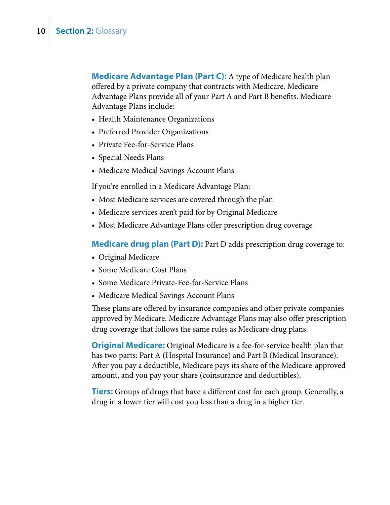<span id="page-9-1"></span>**Medicare Advantage Plan (Part C):** A type of Medicare health plan offered by a private company that contracts with Medicare. Medicare Advantage Plans provide all of your Part A and Part B benefits. Medicare Advantage Plans include:

- Health Maintenance Organizations
- Preferred Provider Organizations
- Private Fee-for-Service Plans
- Special Needs Plans
- Medicare Medical Savings Account Plans

If you're enrolled in a Medicare Advantage Plan:

- Most Medicare services are covered through the plan
- Medicare services aren't paid for by Original Medicare
- Most Medicare Advantage Plans offer prescription drug coverage

<span id="page-9-2"></span>**Medicare drug plan (Part D):** Part D adds prescription drug coverage to:

- Original Medicare
- Some Medicare Cost Plans
- Some Medicare Private-Fee-for-Service Plans
- Medicare Medical Savings Account Plans

<span id="page-9-0"></span>These plans are offered by insurance companies and other private companies approved by Medicare. Medicare Advantage Plans may also offer prescription drug coverage that follows the same rules as Medicare drug plans.

**Original Medicare:** Original Medicare is a fee-for-service health plan that has two parts: Part A (Hospital Insurance) and Part B (Medical Insurance). After you pay a deductible, Medicare pays its share of the Medicare-approved amount, and you pay your share (coinsurance and deductibles).

<span id="page-9-3"></span>**Tiers:** Groups of drugs that have a different cost for each group. Generally, a drug in a lower tier will cost you less than a drug in a higher tier.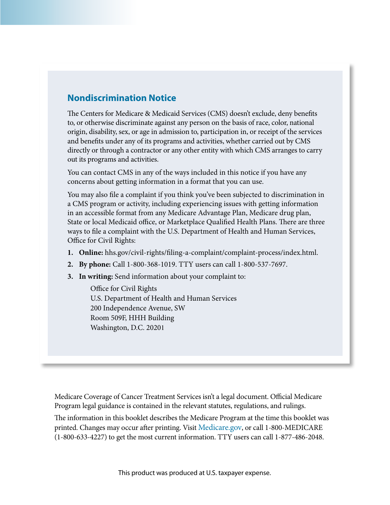# **Nondiscrimination Notice**

The Centers for Medicare & Medicaid Services (CMS) doesn't exclude, deny benefits to, or otherwise discriminate against any person on the basis of race, color, national origin, disability, sex, or age in admission to, participation in, or receipt of the services and benefits under any of its programs and activities, whether carried out by CMS directly or through a contractor or any other entity with which CMS arranges to carry out its programs and activities.

You can contact CMS in any of the ways included in this notice if you have any concerns about getting information in a format that you can use.

You may also file a complaint if you think you've been subjected to discrimination in a CMS program or activity, including experiencing issues with getting information in an accessible format from any Medicare Advantage Plan, Medicare drug plan, State or local Medicaid office, or Marketplace Qualified Health Plans. There are three ways to file a complaint with the U.S. Department of Health and Human Services, Office for Civil Rights:

- **1. Online:** [hhs.gov/civil-rights/filing-a-complaint/complaint-process/index.html.](http://hhs.gov/civil-rights/filing-a-complaint/complaint-process/index.html)
- **2. By phone:** Call 1-800-368-1019. TTY users can call 1-800-537-7697.
- **3. In writing:** Send information about your complaint to:

Office for Civil Rights U.S. Department of Health and Human Services 200 Independence Avenue, SW Room 509F, HHH Building Washington, D.C. 20201

Medicare Coverage of Cancer Treatment Services isn't a legal document. Official Medicare Program legal guidance is contained in the relevant statutes, regulations, and rulings.

The information in this booklet describes the Medicare Program at the time this booklet was printed. Changes may occur after printing. Visit [Medicare.gov](http://Medicare.gov), or call 1-800-MEDICARE (1-800-633-4227) to get the most current information. TTY users can call 1-877-486-2048.